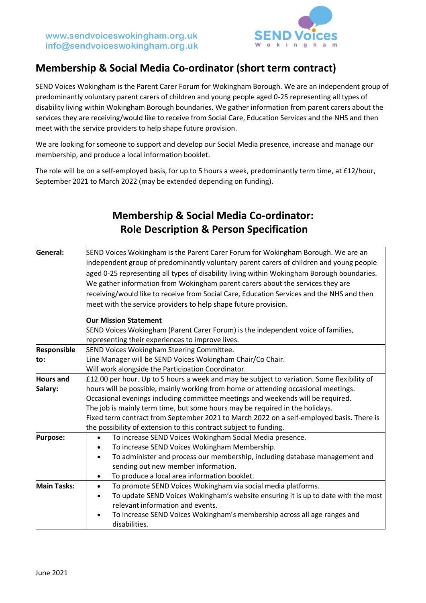

## **Membership & Social Media Co-ordinator (short term contract)**

SEND Voices Wokingham is the Parent Carer Forum for Wokingham Borough. We are an independent group of predominantly voluntary parent carers of children and young people aged 0-25 representing all types of disability living within Wokingham Borough boundaries. We gather information from parent carers about the services they are receiving/would like to receive from Social Care, Education Services and the NHS and then meet with the service providers to help shape future provision.

We are looking for someone to support and develop our Social Media presence, increase and manage our membership, and produce a local information booklet.

The role will be on a self-employed basis, for up to 5 hours a week, predominantly term time, at £12/hour, September 2021 to March 2022 (may be extended depending on funding).

| <b>Role Description &amp; Person Specification</b>                                                                                                                                                                                                                                                                                                                                                                                                                                                                          |  |  |  |
|-----------------------------------------------------------------------------------------------------------------------------------------------------------------------------------------------------------------------------------------------------------------------------------------------------------------------------------------------------------------------------------------------------------------------------------------------------------------------------------------------------------------------------|--|--|--|
| SEND Voices Wokingham is the Parent Carer Forum for Wokingham Borough. We are an<br>independent group of predominantly voluntary parent carers of children and young people<br>aged 0-25 representing all types of disability living within Wokingham Borough boundaries.<br>We gather information from Wokingham parent carers about the services they are<br>receiving/would like to receive from Social Care, Education Services and the NHS and then<br>meet with the service providers to help shape future provision. |  |  |  |
| <b>Our Mission Statement</b>                                                                                                                                                                                                                                                                                                                                                                                                                                                                                                |  |  |  |
| SEND Voices Wokingham (Parent Carer Forum) is the independent voice of families,<br>representing their experiences to improve lives.                                                                                                                                                                                                                                                                                                                                                                                        |  |  |  |
| <b>SEND Voices Wokingham Steering Committee.</b>                                                                                                                                                                                                                                                                                                                                                                                                                                                                            |  |  |  |
| Line Manager will be SEND Voices Wokingham Chair/Co Chair.                                                                                                                                                                                                                                                                                                                                                                                                                                                                  |  |  |  |
| Will work alongside the Participation Coordinator.                                                                                                                                                                                                                                                                                                                                                                                                                                                                          |  |  |  |
| £12.00 per hour. Up to 5 hours a week and may be subject to variation. Some flexibility of                                                                                                                                                                                                                                                                                                                                                                                                                                  |  |  |  |
| hours will be possible, mainly working from home or attending occasional meetings.                                                                                                                                                                                                                                                                                                                                                                                                                                          |  |  |  |
| Occasional evenings including committee meetings and weekends will be required.                                                                                                                                                                                                                                                                                                                                                                                                                                             |  |  |  |
| The job is mainly term time, but some hours may be required in the holidays.                                                                                                                                                                                                                                                                                                                                                                                                                                                |  |  |  |
| Fixed term contract from September 2021 to March 2022 on a self-employed basis. There is                                                                                                                                                                                                                                                                                                                                                                                                                                    |  |  |  |
| the possibility of extension to this contract subject to funding.                                                                                                                                                                                                                                                                                                                                                                                                                                                           |  |  |  |
| To increase SEND Voices Wokingham Social Media presence.<br>$\bullet$                                                                                                                                                                                                                                                                                                                                                                                                                                                       |  |  |  |
| To increase SEND Voices Wokingham Membership.                                                                                                                                                                                                                                                                                                                                                                                                                                                                               |  |  |  |
| To administer and process our membership, including database management and<br>$\bullet$<br>sending out new member information.                                                                                                                                                                                                                                                                                                                                                                                             |  |  |  |
| To produce a local area information booklet.<br>$\bullet$                                                                                                                                                                                                                                                                                                                                                                                                                                                                   |  |  |  |
| To promote SEND Voices Wokingham via social media platforms.<br>$\bullet$                                                                                                                                                                                                                                                                                                                                                                                                                                                   |  |  |  |
| To update SEND Voices Wokingham's website ensuring it is up to date with the most                                                                                                                                                                                                                                                                                                                                                                                                                                           |  |  |  |
| relevant information and events.                                                                                                                                                                                                                                                                                                                                                                                                                                                                                            |  |  |  |
|                                                                                                                                                                                                                                                                                                                                                                                                                                                                                                                             |  |  |  |

• To increase SEND Voices Wokingham's membership across all age ranges and

## **Membership & Social Media Co-ordinator:**

disabilities.